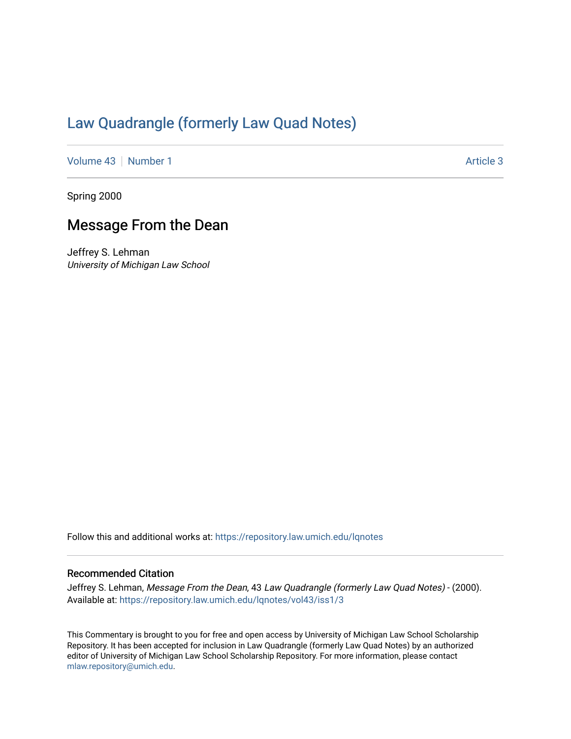## [Law Quadrangle \(formerly Law Quad Notes\)](https://repository.law.umich.edu/lqnotes)

[Volume 43](https://repository.law.umich.edu/lqnotes/vol43) [Number 1](https://repository.law.umich.edu/lqnotes/vol43/iss1) Article 3

Spring 2000

## Message From the Dean

Jeffrey S. Lehman University of Michigan Law School

Follow this and additional works at: [https://repository.law.umich.edu/lqnotes](https://repository.law.umich.edu/lqnotes?utm_source=repository.law.umich.edu%2Flqnotes%2Fvol43%2Fiss1%2F3&utm_medium=PDF&utm_campaign=PDFCoverPages) 

## Recommended Citation

Jeffrey S. Lehman, Message From the Dean, 43 Law Quadrangle (formerly Law Quad Notes) - (2000). Available at: [https://repository.law.umich.edu/lqnotes/vol43/iss1/3](https://repository.law.umich.edu/lqnotes/vol43/iss1/3?utm_source=repository.law.umich.edu%2Flqnotes%2Fvol43%2Fiss1%2F3&utm_medium=PDF&utm_campaign=PDFCoverPages) 

This Commentary is brought to you for free and open access by University of Michigan Law School Scholarship Repository. It has been accepted for inclusion in Law Quadrangle (formerly Law Quad Notes) by an authorized editor of University of Michigan Law School Scholarship Repository. For more information, please contact [mlaw.repository@umich.edu.](mailto:mlaw.repository@umich.edu)